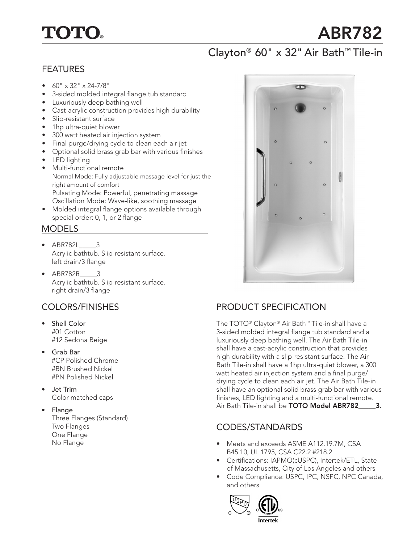# **TOTO**

# ABR782

## Clayton® 60" x 32" Air Bath™ Tile-in

#### FEATURES

- $\bullet$  60" x 32" x 24-7/8"
- 3-sided molded integral flange tub standard
- Luxuriously deep bathing well
- Cast-acrylic construction provides high durability
- Slip-resistant surface
- 1hp ultra-quiet blower
- 300 watt heated air injection system
- Final purge/drying cycle to clean each air jet
- Optional solid brass grab bar with various finishes
- LED lighting
- Multi-functional remote Normal Mode: Fully adjustable massage level for just the right amount of comfort Pulsating Mode: Powerful, penetrating massage Oscillation Mode: Wave-like, soothing massage
- Molded integral flange options available through special order: 0, 1, or 2 flange

### MODELS

- ABR782L\_\_\_\_\_3 Acrylic bathtub. Slip-resistant surface. left drain/3 flange
- ABR782R\_\_\_\_\_3 Acrylic bathtub. Slip-resistant surface. right drain/3 flange

### COLORS/FINISHES

- Shell Color #01 Cotton #12 Sedona Beige
- Grab Bar #CP Polished Chrome #BN Brushed Nickel #PN Polished Nickel
- Jet Trim Color matched caps

#### • Flange Three Flanges (Standard) Two Flanges One Flange No Flange



## PRODUCT SPECIFICATION

The TOTO® Clayton® Air Bath™ Tile-in shall have a 3-sided molded integral flange tub standard and a luxuriously deep bathing well. The Air Bath Tile-in shall have a cast-acrylic construction that provides high durability with a slip-resistant surface. The Air Bath Tile-in shall have a 1hp ultra-quiet blower, a 300 watt heated air injection system and a final purge/ drying cycle to clean each air jet. The Air Bath Tile-in shall have an optional solid brass grab bar with various finishes, LED lighting and a multi-functional remote. Air Bath Tile-in shall be TOTO Model ABR782\_\_\_\_\_3.

## CODES/STANDARDS

- Meets and exceeds ASME A112.19.7M, CSA B45.10, UL 1795, CSA C22.2 #218.2
- Certifications: IAPMO(cUSPC), Intertek/ETL, State of Massachusetts, City of Los Angeles and others
- Code Compliance: USPC, IPC, NSPC, NPC Canada, and others